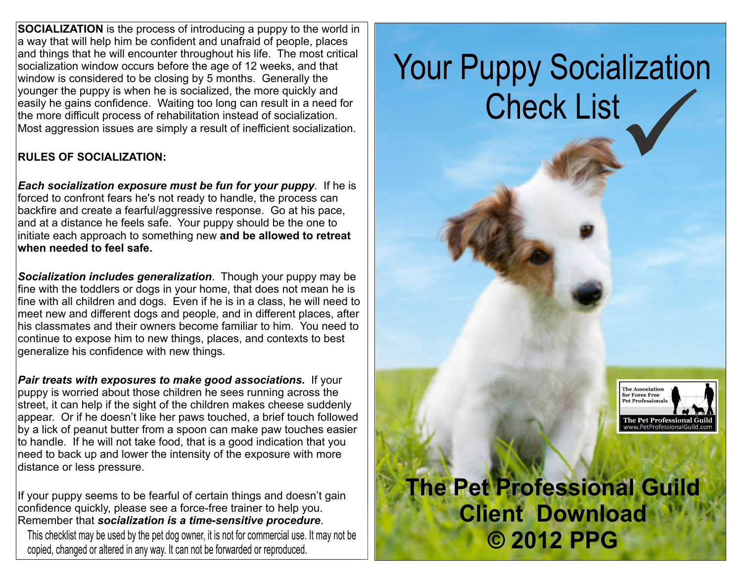**SOCIALIZATION** is the process of introducing a puppy to the world in a way that will help him be confident and unafraid of people, places and things that he will encounter throughout his life. The most critical socialization window occurs before the age of 12 weeks, and that window is considered to be closing by 5 months. Generally the younger the puppy is when he is socialized, the more quickly and easily he gains confidence. Waiting too long can result in a need for the more difficult process of rehabilitation instead of socialization. Most aggression issues are simply a result of inefficient socialization.

## **RULES OF SOCIALIZATION:**

*Each socialization exposure must be fun for your puppy*. If he is forced to confront fears he's not ready to handle, the process can backfire and create a fearful/aggressive response. Go at his pace, and at a distance he feels safe. Your puppy should be the one to initiate each approach to something new **and be allowed to retreat when needed to feel safe.**

*Socialization includes generalization*. Though your puppy may be fine with the toddlers or dogs in your home, that does not mean he is fine with all children and dogs. Even if he is in a class, he will need to meet new and different dogs and people, and in different places, after his classmates and their owners become familiar to him. You need to continue to expose him to new things, places, and contexts to best generalize his confidence with new things.

*Pair treats with exposures to make good associations.* If your puppy is worried about those children he sees running across the street, it can help if the sight of the children makes cheese suddenly appear. Or if he doesn't like her paws touched, a brief touch followed by a lick of peanut butter from a spoon can make paw touches easier to handle. If he will not take food, that is a good indication that you need to back up and lower the intensity of the exposure with more distance or less pressure.

If your puppy seems to be fearful of certain things and doesn't gain confidence quickly, please see a force-free trainer to help you. Remember that *socialization is a time-sensitive procedure*.

This checklist may be used by the pet dog owner, it is not for commercial use. It may not be copied, changed or altered in any way. It can not be forwarded or reproduced.

## **Your Puppy Socialization Check List**



## $T_{\text{e}}$  Pet Professional Guild has given permitted by  $\text{p}_1$ is it is not for commercial use. It may not be **C** 2012 PPG **Defined as a set of the interval piece in the interval piece in the interval piece in the interval piece in the interval piece in the interval piece in the inter The Pet Professional Guild Client Download**